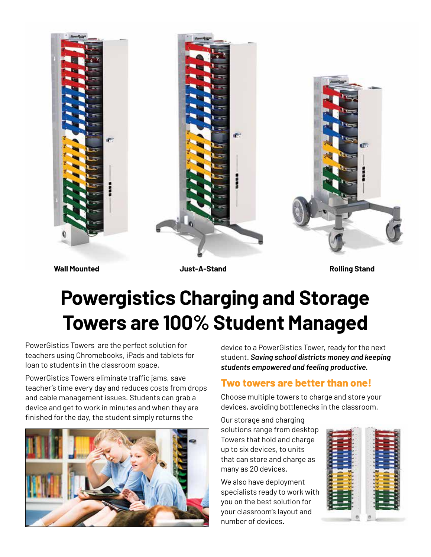

**Wall Mounted Just-A-Stand Rolling Stand**

# **Powergistics Charging and Storage Towers are 100% Student Managed**

PowerGistics Towers are the perfect solution for teachers using Chromebooks, iPads and tablets for loan to students in the classroom space.

PowerGistics Towers eliminate traffic jams, save teacher's time every day and reduces costs from drops and cable management issues. Students can grab a device and get to work in minutes and when they are finished for the day, the student simply returns the



device to a PowerGistics Tower, ready for the next student. *Saving school districts money and keeping students empowered and feeling productive.*

# **Two towers are better than one!**

Choose multiple towers to charge and store your devices, avoiding bottlenecks in the classroom.

Our storage and charging solutions range from desktop Towers that hold and charge up to six devices, to units that can store and charge as many as 20 devices.

We also have deployment specialists ready to work with you on the best solution for your classroom's layout and number of devices.

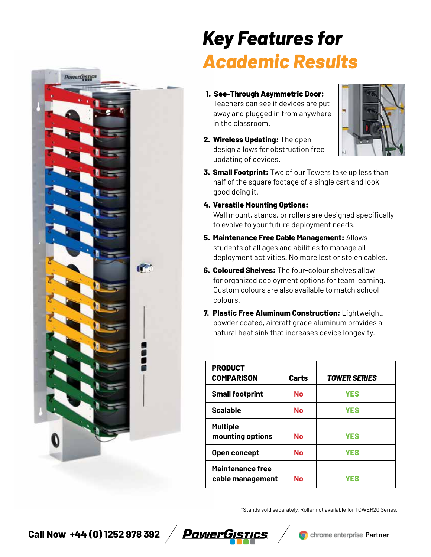

# *Key Features for Academic Results*

- **1. See-Through Asymmetric Door:**  Teachers can see if devices are put away and plugged in from anywhere in the classroom.
- **2. Wireless Updating:** The open design allows for obstruction free updating of devices.



- **3. Small Footprint:** Two of our Towers take up less than half of the square footage of a single cart and look good doing it.
- **4. Versatile Mounting Options:**

Wall mount, stands, or rollers are designed specifically to evolve to your future deployment needs.

- **5. Maintenance Free Cable Management:** Allows students of all ages and abilities to manage all deployment activities. No more lost or stolen cables.
- **6. Coloured Shelves:** The four-colour shelves allow for organized deployment options for team learning. Custom colours are also available to match school colours.
- **7. Plastic Free Aluminum Construction:** Lightweight, powder coated, aircraft grade aluminum provides a natural heat sink that increases device longevity.

| <b>PRODUCT</b><br><b>COMPARISON</b>  | Carts | <b>TOWER SERIES</b> |
|--------------------------------------|-------|---------------------|
| <b>Small footprint</b>               | No    | <b>YES</b>          |
| <b>Scalable</b>                      | No    | <b>YES</b>          |
| <b>Multiple</b><br>mounting options  | No    | <b>YES</b>          |
| Open concept                         | No    | <b>YES</b>          |
| Maintenance free<br>cable management | No    | YES                 |

\*Stands sold separately, Roller not available for TOWER20 Series.

**Call Now +44 (0) 1252 978 392**  $\angle$  **<b>PawerGistics**  $\angle$  **C** chrome enterprise Partner

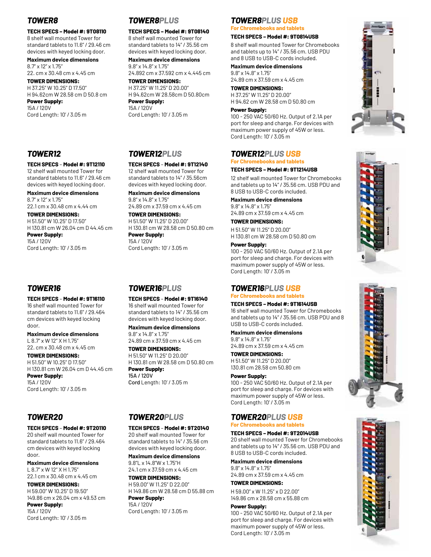# *TOWER8*

### **TECH SPECS – Model #: 9T08110**

8 shelf wall mounted Tower for standard tablets to 11.6" / 29.46 cm devices with keyed locking door.

**Maximum device dimensions** 8.7" x 12" x 1.75" 22. cm x 30.48 cm x 4.45 cm

**TOWER DIMENSIONS:** H 37.25" W 10.25" D 17.50" H 94.62cm W 28.58 cm D 50.8 cm **Power Supply:** 15A / 120V Cord Length: 10' / 3.05 m

# *TOWER8PLUS*

**TECH SPECS – Model #: 9T08140** 8 shelf wall mounted Tower for standard tablets to 14" / 35.56 cm devices with keyed locking door.

**Maximum device dimensions** 9.8" x 14.8" x 1.75" 24.892 cm x 37.592 cm x 4.445 cm

**TOWER DIMENSIONS:** H 37.25" W 11.25" D 20.00" H 94.62cm W 28.58cm D 50.80cm **Power Supply:** 15A / 120V Cord Length: 10' / 3.05 m

#### *TOWER8PLUS USB* **For Chromebooks and tablets**

#### **TECH SPECS – Model #: 9T0814USB**

8 shelf wall mounted Tower for Chromebooks and tablets up to 14" / 35.56 cm. USB PDU and 8 USB to USB-C cords included.

#### **Maximum device dimensions**

9.8" x 14.8" x 1.75" 24.89 cm x 37.59 cm x 4.45 cm

**TOWER DIMENSIONS:** H 37.25" W 11.25" D 20.00" H 94.62 cm W 28.58 cm D 50.80 cm

#### **Power Supply:**

100 - 250 VAC 50/60 Hz. Output of 2.1A per port for sleep and charge. For devices with maximum power supply of 45W or less. Cord Length: 10' / 3.05 m

# *TOWER12PLUS USB*

# **For Chromebooks and tablets**

### **TECH SPECS – Model #: 9T1214USB**

12 shelf wall mounted Tower for Chromebooks and tablets up to 14" / 35.56 cm. USB PDU and 8 USB to USB-C cords included.

**Maximum device dimensions** 9.8" x 14.8" x 1.75" 24.89 cm x 37.59 cm x 4.45 cm

**TOWER DIMENSIONS:**

H 51.50" W 11.25" D 20.00" H 130.81 cm W 28.58 cm D 50.80 cm

#### **Power Supply:**

100 - 250 VAC 50/60 Hz. Output of 2.1A per port for sleep and charge. For devices with maximum power supply of 45W or less. Cord Length: 10' / 3.05 m

# *TOWER16PLUS USB*

# **For Chromebooks and tablets**

**TECH SPECS – Model #: 9T1614USB** 16 shelf wall mounted Tower for Chromebooks and tablets up to 14" / 35.56 cm. USB PDU and 8 USB to USB-C cords included.

**Maximum device dimensions** 9.8" x 14.8" x 1.75" 24.89 cm x 37.59 cm x 4.45 cm

**TOWER DIMENSIONS:** H 51.50" W 11.25" D 20.00" 130.81 cm 28.58 cm 50.80 cm

#### **Power Supply:**

100 - 250 VAC 50/60 Hz. Output of 2.1A per port for sleep and charge. For devices with maximum power supply of 45W or less. Cord Length: 10' / 3.05 m

#### *TOWER20PLUS USB* **For Chromebooks and tablets**

### **TECH SPECS – Model #: 9T2014USB**

20 shelf wall mounted Tower for Chromebooks and tablets up to 14" / 35.56 cm. USB PDU and 8 USB to USB-C cords included.

**Maximum device dimensions** 9.8" x 14.8" x 1.75"

24.89 cm x 37.59 cm x 4.45 cm **TOWER DIMENSIONS:**

H 59.00" x W 11.25" x D 22.00" 149.86 cm x 28.58 cm x 55.88 cm

#### **Power Supply:**

100 - 250 VAC 50/60 Hz. Output of 2.1A per port for sleep and charge. For devices with maximum power supply of 45W or less. Cord Length: 10' / 3.05 m









# *TOWER12*

#### **TECH SPECS** – **Model #: 9T12110**

12 shelf wall mounted Tower for standard tablets to 11.6" / 29.46 cm devices with keyed locking door.

#### **Maximum device dimensions**

8.7" x 12" x 1.75" 22.1 cm x 30.48 cm x 4.44 cm

**TOWER DIMENSIONS:** H 51.50" W 10.25" D 17.50" H 130.81 cm W 26.04 cm D 44.45 cm

**Power Supply:** 15A / 120V Cord Length: 10' / 3.05 m

# *TOWER16*

**TECH SPECS** – **Model #: 9T16110**

16 shelf wall mounted Tower for standard tablets to 11.6" / 29.464 cm devices with keyed locking door.

**Maximum device dimensions** L 8.7" x W 12" X H 1.75" 22. cm x 30.48 cm x 4.45 cm

**TOWER DIMENSIONS:** H 51.50" W 10.25" D 17.50" H 130.81 cm W 26.04 cm D 44.45 cm **Power Supply:** 

15A / 120V Cord Length: 10' / 3.05 m

# *TOWER20*

### **TECH SPECS** – **Model #: 9T20110**

20 shelf wall mounted Tower for standard tablets to 11.6" / 29.464 cm devices with keyed locking door.

**Maximum device dimensions** L 8.7" x W 12" X H 1.75" 22.1 cm x 30.48 cm x 4.45 cm

**TOWER DIMENSIONS:** H 59.00" W 10.25" D 19.50" 149.86 cm x 26.04 cm x 49.53 cm

**Power Supply:**  15A / 120V Cord Length: 10' / 3.05 m

# *TOWER12PLUS*

**TECH SPECS** – **Model #: 9T12140** 12 shelf wall mounted Tower for standard tablets to 14" / 35.56cm devices with keyed locking door.

**Maximum device dimensions** 9.8" x 14.8" x 1.75" 24.89 cm x 37.59 cm x 4.45 cm

**TOWER DIMENSIONS:** H 51.50" W 11.25" D 20.00" H 130.81 cm W 28.58 cm D 50.80 cm **Power Supply:** 15A / 120V

Cord Length: 10' / 3.05 m

# *TOWER16PLUS*

**TECH SPECS** – **Model #: 9T16140** 16 shelf wall mounted Tower for standard tablets to 14" / 35.56 cm devices with keyed locking door.

**Maximum device dimensions** 9.8" x 14.8" x 1.75" 24.89 cm x 37.59 cm x 4.45 cm

**TOWER DIMENSIONS:** H 51.50" W 11.25" D 20.00" H 130.81 cm W 28.58 cm D 50.80 cm **Power Supply:**  15A / 120V

standard tablets to 14" / 35.56 cm devices with keyed locking door.

H 59.00" W 11.25" D 22.00" H 149.86 cm W 28.58 cm D 55.88 cm **Power Supply:**  15A / 120V Cord Length: 10' / 3.05 m

**TECH SPECS** – **Model #: 9T20140** 20 shelf wall mounted Tower for

Cord Length: 10' / 3.05 m

*TOWER20PLUS*

**Maximum device dimensions** 9.8"L x 14.8"W x 1.75"H 24.1 cm x 37.59 cm x 4.45 cm

**TOWER DIMENSIONS:**